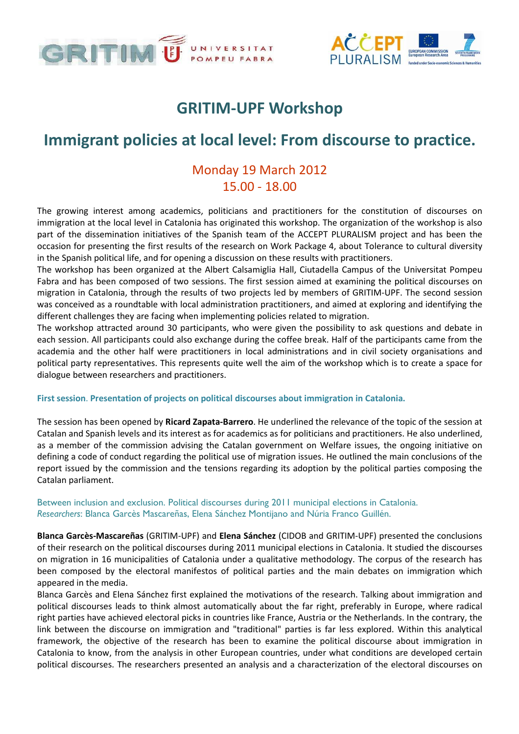



## GRITIM-UPF Workshop

# Immigrant policies at local level: From discourse to practice.

## Monday 19 March 2012 15.00 - 18.00

The growing interest among academics, politicians and practitioners for the constitution of discourses on immigration at the local level in Catalonia has originated this workshop. The organization of the workshop is also part of the dissemination initiatives of the Spanish team of the ACCEPT PLURALISM project and has been the occasion for presenting the first results of the research on Work Package 4, about Tolerance to cultural diversity in the Spanish political life, and for opening a discussion on these results with practitioners.

The workshop has been organized at the Albert Calsamiglia Hall, Ciutadella Campus of the Universitat Pompeu Fabra and has been composed of two sessions. The first session aimed at examining the political discourses on migration in Catalonia, through the results of two projects led by members of GRITIM-UPF. The second session was conceived as a roundtable with local administration practitioners, and aimed at exploring and identifying the different challenges they are facing when implementing policies related to migration.

The workshop attracted around 30 participants, who were given the possibility to ask questions and debate in each session. All participants could also exchange during the coffee break. Half of the participants came from the academia and the other half were practitioners in local administrations and in civil society organisations and political party representatives. This represents quite well the aim of the workshop which is to create a space for dialogue between researchers and practitioners.

#### First session. Presentation of projects on political discourses about immigration in Catalonia.

The session has been opened by Ricard Zapata-Barrero. He underlined the relevance of the topic of the session at Catalan and Spanish levels and its interest as for academics as for politicians and practitioners. He also underlined, as a member of the commission advising the Catalan government on Welfare issues, the ongoing initiative on defining a code of conduct regarding the political use of migration issues. He outlined the main conclusions of the report issued by the commission and the tensions regarding its adoption by the political parties composing the Catalan parliament.

### Between inclusion and exclusion. Political discourses during 2011 municipal elections in Catalonia. Researchers: Blanca Garcès Mascareñas, Elena Sánchez Montijano and Núria Franco Guillén.

Blanca Garcès-Mascareñas (GRITIM-UPF) and Elena Sánchez (CIDOB and GRITIM-UPF) presented the conclusions of their research on the political discourses during 2011 municipal elections in Catalonia. It studied the discourses on migration in 16 municipalities of Catalonia under a qualitative methodology. The corpus of the research has been composed by the electoral manifestos of political parties and the main debates on immigration which appeared in the media.

Blanca Garcès and Elena Sánchez first explained the motivations of the research. Talking about immigration and political discourses leads to think almost automatically about the far right, preferably in Europe, where radical right parties have achieved electoral picks in countries like France, Austria or the Netherlands. In the contrary, the link between the discourse on immigration and "traditional" parties is far less explored. Within this analytical framework, the objective of the research has been to examine the political discourse about immigration in Catalonia to know, from the analysis in other European countries, under what conditions are developed certain political discourses. The researchers presented an analysis and a characterization of the electoral discourses on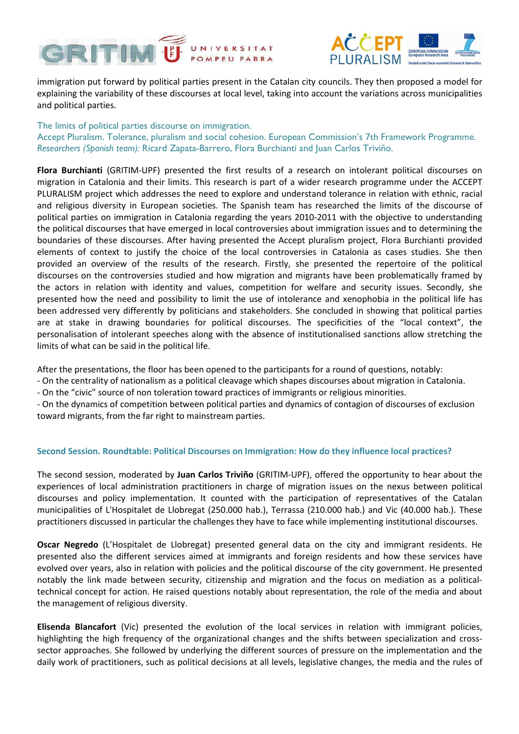



immigration put forward by political parties present in the Catalan city councils. They then proposed a model for explaining the variability of these discourses at local level, taking into account the variations across municipalities and political parties.

The limits of political parties discourse on immigration. Accept Pluralism. Tolerance, pluralism and social cohesion. European Commission's 7th Framework Programme. Researchers (Spanish team): Ricard Zapata-Barrero, Flora Burchianti and Juan Carlos Triviño.

Flora Burchianti (GRITIM-UPF) presented the first results of a research on intolerant political discourses on migration in Catalonia and their limits. This research is part of a wider research programme under the ACCEPT PLURALISM project which addresses the need to explore and understand tolerance in relation with ethnic, racial and religious diversity in European societies. The Spanish team has researched the limits of the discourse of political parties on immigration in Catalonia regarding the years 2010-2011 with the objective to understanding the political discourses that have emerged in local controversies about immigration issues and to determining the boundaries of these discourses. After having presented the Accept pluralism project, Flora Burchianti provided elements of context to justify the choice of the local controversies in Catalonia as cases studies. She then provided an overview of the results of the research. Firstly, she presented the repertoire of the political discourses on the controversies studied and how migration and migrants have been problematically framed by the actors in relation with identity and values, competition for welfare and security issues. Secondly, she presented how the need and possibility to limit the use of intolerance and xenophobia in the political life has been addressed very differently by politicians and stakeholders. She concluded in showing that political parties are at stake in drawing boundaries for political discourses. The specificities of the "local context", the personalisation of intolerant speeches along with the absence of institutionalised sanctions allow stretching the limits of what can be said in the political life.

After the presentations, the floor has been opened to the participants for a round of questions, notably:

- On the centrality of nationalism as a political cleavage which shapes discourses about migration in Catalonia.
- On the "civic" source of non toleration toward practices of immigrants or religious minorities.

- On the dynamics of competition between political parties and dynamics of contagion of discourses of exclusion toward migrants, from the far right to mainstream parties.

#### Second Session. Roundtable: Political Discourses on Immigration: How do they influence local practices?

The second session, moderated by Juan Carlos Triviño (GRITIM-UPF), offered the opportunity to hear about the experiences of local administration practitioners in charge of migration issues on the nexus between political discourses and policy implementation. It counted with the participation of representatives of the Catalan municipalities of L'Hospitalet de Llobregat (250.000 hab.), Terrassa (210.000 hab.) and Vic (40.000 hab.). These practitioners discussed in particular the challenges they have to face while implementing institutional discourses.

Oscar Negredo (L'Hospitalet de Llobregat) presented general data on the city and immigrant residents. He presented also the different services aimed at immigrants and foreign residents and how these services have evolved over years, also in relation with policies and the political discourse of the city government. He presented notably the link made between security, citizenship and migration and the focus on mediation as a politicaltechnical concept for action. He raised questions notably about representation, the role of the media and about the management of religious diversity.

Elisenda Blancafort (Vic) presented the evolution of the local services in relation with immigrant policies, highlighting the high frequency of the organizational changes and the shifts between specialization and crosssector approaches. She followed by underlying the different sources of pressure on the implementation and the daily work of practitioners, such as political decisions at all levels, legislative changes, the media and the rules of